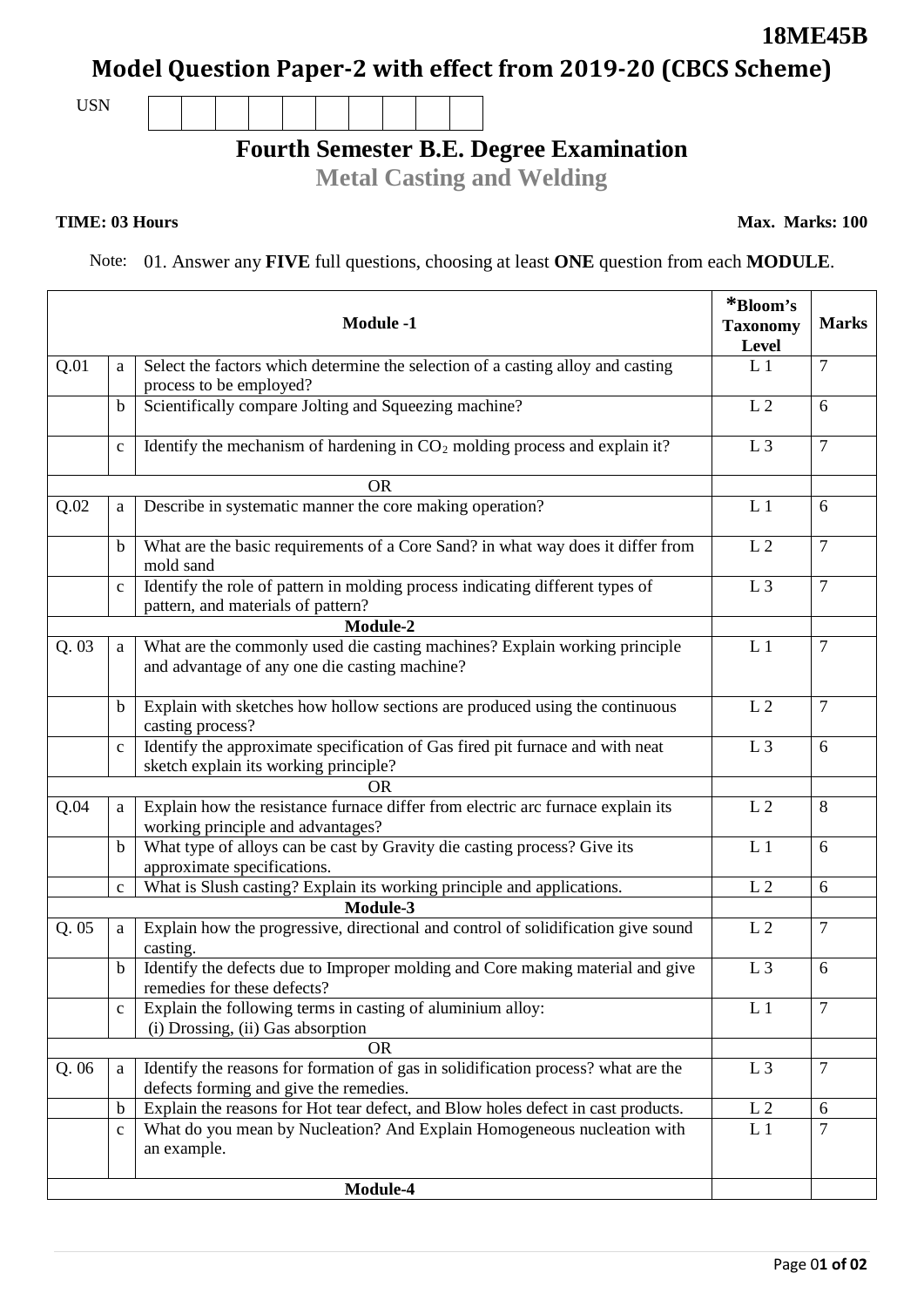# **Model Question Paper-2 with effect from 2019-20 (CBCS Scheme)**

USN

# **Fourth Semester B.E. Degree Examination**

**Metal Casting and Welding**

#### **TIME: 03 Hours**

Note: 01. Answer any **FIVE** full questions, choosing at least **ONE** question from each **MODULE**.

|          |              | <b>Module -1</b>                                                                                                            | *Bloom's<br><b>Taxonomy</b><br>Level | <b>Marks</b>    |
|----------|--------------|-----------------------------------------------------------------------------------------------------------------------------|--------------------------------------|-----------------|
| Q.01     | a            | Select the factors which determine the selection of a casting alloy and casting<br>process to be employed?                  | L <sub>1</sub>                       | $\overline{7}$  |
|          | $\mathbf b$  | Scientifically compare Jolting and Squeezing machine?                                                                       | L <sub>2</sub>                       | 6               |
|          | $\mathbf{C}$ | Identify the mechanism of hardening in $CO2$ molding process and explain it?                                                | L <sub>3</sub>                       | $\overline{7}$  |
|          |              | <b>OR</b>                                                                                                                   |                                      |                 |
| Q.02     | a            | Describe in systematic manner the core making operation?                                                                    | L <sub>1</sub>                       | 6               |
|          | $\mathbf b$  | What are the basic requirements of a Core Sand? in what way does it differ from<br>mold sand                                | L <sub>2</sub>                       | $\overline{7}$  |
|          | $\mathbf{c}$ | Identify the role of pattern in molding process indicating different types of<br>pattern, and materials of pattern?         | L <sub>3</sub>                       | $\tau$          |
|          |              | Module-2                                                                                                                    |                                      |                 |
| Q.03     | a            | What are the commonly used die casting machines? Explain working principle<br>and advantage of any one die casting machine? | L <sub>1</sub>                       | $\overline{7}$  |
|          | $\mathbf b$  | Explain with sketches how hollow sections are produced using the continuous<br>casting process?                             | L <sub>2</sub>                       | $\overline{7}$  |
|          | $\mathbf{C}$ | Identify the approximate specification of Gas fired pit furnace and with neat<br>sketch explain its working principle?      | L <sub>3</sub>                       | 6               |
|          |              | <b>OR</b>                                                                                                                   |                                      |                 |
| Q.04     | a            | Explain how the resistance furnace differ from electric arc furnace explain its<br>working principle and advantages?        | L <sub>2</sub>                       | 8               |
|          | $\mathbf b$  | What type of alloys can be cast by Gravity die casting process? Give its<br>approximate specifications.                     | L <sub>1</sub>                       | 6               |
|          | $\mathbf{C}$ | What is Slush casting? Explain its working principle and applications.                                                      | L <sub>2</sub>                       | 6               |
|          |              | Module-3                                                                                                                    |                                      |                 |
| Q.05     | a            | Explain how the progressive, directional and control of solidification give sound<br>casting.                               | L <sub>2</sub>                       | $\overline{7}$  |
|          | $\mathbf b$  | Identify the defects due to Improper molding and Core making material and give<br>remedies for these defects?               | L <sub>3</sub>                       | 6               |
|          | $\mathbf{C}$ | Explain the following terms in casting of aluminium alloy:<br>(i) Drossing, (ii) Gas absorption                             | L <sub>1</sub>                       | $\overline{7}$  |
|          |              | <b>OR</b>                                                                                                                   |                                      |                 |
| Q.06     | a            | Identify the reasons for formation of gas in solidification process? what are the<br>defects forming and give the remedies. | L <sub>3</sub>                       | $7\phantom{.0}$ |
|          | $\mathbf b$  | Explain the reasons for Hot tear defect, and Blow holes defect in cast products.                                            | L <sub>2</sub>                       | 6               |
|          | $\mathbf{C}$ | What do you mean by Nucleation? And Explain Homogeneous nucleation with<br>an example.                                      | L <sub>1</sub>                       | $\overline{7}$  |
| Module-4 |              |                                                                                                                             |                                      |                 |

### **18ME45B**

**Max. Marks: 100**